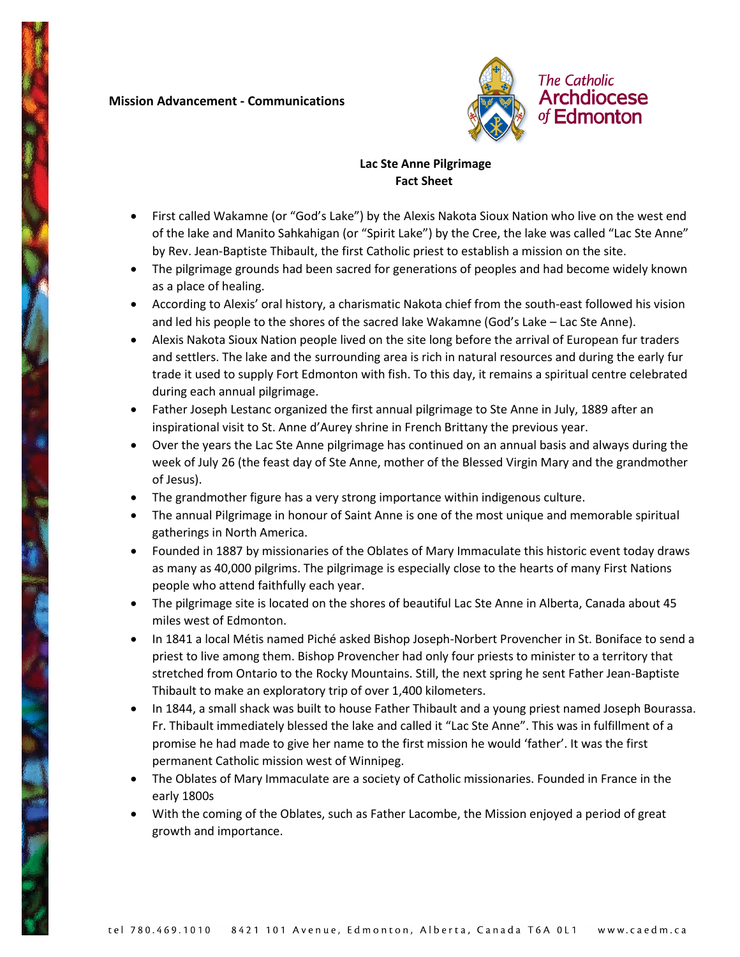## **Mission Advancement - Communications**



## **Lac Ste Anne Pilgrimage Fact Sheet**

- First called Wakamne (or "God's Lake") by the Alexis Nakota Sioux Nation who live on the west end of the lake and Manito Sahkahigan (or "Spirit Lake") by the Cree, the lake was called "Lac Ste Anne" by Rev. Jean-Baptiste Thibault, the first Catholic priest to establish a mission on the site.
- The pilgrimage grounds had been sacred for generations of peoples and had become widely known as a place of healing.
- According to Alexis' oral history, a charismatic Nakota chief from the south-east followed his vision and led his people to the shores of the sacred lake Wakamne (God's Lake – Lac Ste Anne).
- Alexis Nakota Sioux Nation people lived on the site long before the arrival of European fur traders and settlers. The lake and the surrounding area is rich in natural resources and during the early fur trade it used to supply Fort Edmonton with fish. To this day, it remains a spiritual centre celebrated during each annual pilgrimage.
- Father Joseph Lestanc organized the first annual pilgrimage to Ste Anne in July, 1889 after an inspirational visit to St. Anne d'Aurey shrine in French Brittany the previous year.
- Over the years the Lac Ste Anne pilgrimage has continued on an annual basis and always during the week of July 26 (the feast day of Ste Anne, mother of the Blessed Virgin Mary and the grandmother of Jesus).
- The grandmother figure has a very strong importance within indigenous culture.
- The annual Pilgrimage in honour of Saint Anne is one of the most unique and memorable spiritual gatherings in North America.
- Founded in 1887 by missionaries of the Oblates of Mary Immaculate this historic event today draws as many as 40,000 pilgrims. The pilgrimage is especially close to the hearts of many First Nations people who attend faithfully each year.
- The pilgrimage site is located on the shores of beautiful Lac Ste Anne in Alberta, Canada about 45 miles west of Edmonton.
- In 1841 a local Métis named Piché asked Bishop Joseph-Norbert Provencher in St. Boniface to send a priest to live among them. Bishop Provencher had only four priests to minister to a territory that stretched from Ontario to the Rocky Mountains. Still, the next spring he sent Father Jean-Baptiste Thibault to make an exploratory trip of over 1,400 kilometers.
- In 1844, a small shack was built to house Father Thibault and a young priest named Joseph Bourassa. Fr. Thibault immediately blessed the lake and called it "Lac Ste Anne". This was in fulfillment of a promise he had made to give her name to the first mission he would 'father'. It was the first permanent Catholic mission west of Winnipeg.
- The Oblates of Mary Immaculate are a society of Catholic missionaries. Founded in France in the early 1800s
- With the coming of the Oblates, such as Father Lacombe, the Mission enjoyed a period of great growth and importance.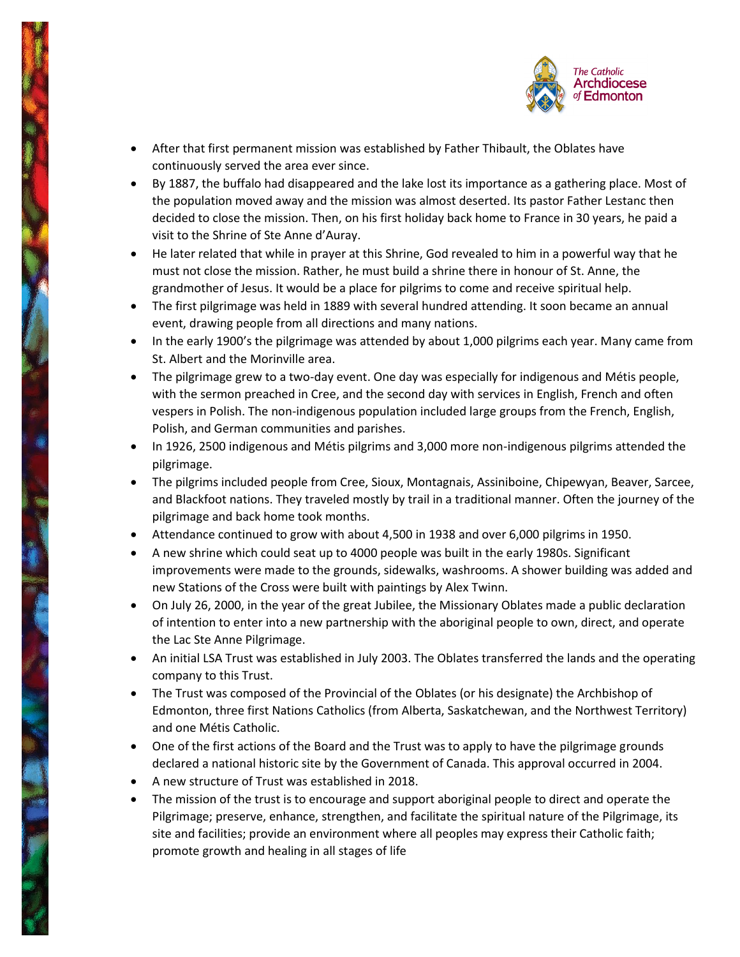

- After that first permanent mission was established by Father Thibault, the Oblates have continuously served the area ever since.
- By 1887, the buffalo had disappeared and the lake lost its importance as a gathering place. Most of the population moved away and the mission was almost deserted. Its pastor Father Lestanc then decided to close the mission. Then, on his first holiday back home to France in 30 years, he paid a visit to the Shrine of Ste Anne d'Auray.
- He later related that while in prayer at this Shrine, God revealed to him in a powerful way that he must not close the mission. Rather, he must build a shrine there in honour of St. Anne, the grandmother of Jesus. It would be a place for pilgrims to come and receive spiritual help.
- The first pilgrimage was held in 1889 with several hundred attending. It soon became an annual event, drawing people from all directions and many nations.
- In the early 1900's the pilgrimage was attended by about 1,000 pilgrims each year. Many came from St. Albert and the Morinville area.
- The pilgrimage grew to a two-day event. One day was especially for indigenous and Métis people, with the sermon preached in Cree, and the second day with services in English, French and often vespers in Polish. The non-indigenous population included large groups from the French, English, Polish, and German communities and parishes.
- In 1926, 2500 indigenous and Métis pilgrims and 3,000 more non-indigenous pilgrims attended the pilgrimage.
- The pilgrims included people from Cree, Sioux, Montagnais, Assiniboine, Chipewyan, Beaver, Sarcee, and Blackfoot nations. They traveled mostly by trail in a traditional manner. Often the journey of the pilgrimage and back home took months.
- Attendance continued to grow with about 4,500 in 1938 and over 6,000 pilgrims in 1950.
- A new shrine which could seat up to 4000 people was built in the early 1980s. Significant improvements were made to the grounds, sidewalks, washrooms. A shower building was added and new Stations of the Cross were built with paintings by Alex Twinn.
- On July 26, 2000, in the year of the great Jubilee, the Missionary Oblates made a public declaration of intention to enter into a new partnership with the aboriginal people to own, direct, and operate the Lac Ste Anne Pilgrimage.
- An initial LSA Trust was established in July 2003. The Oblates transferred the lands and the operating company to this Trust.
- The Trust was composed of the Provincial of the Oblates (or his designate) the Archbishop of Edmonton, three first Nations Catholics (from Alberta, Saskatchewan, and the Northwest Territory) and one Métis Catholic.
- One of the first actions of the Board and the Trust was to apply to have the pilgrimage grounds declared a national historic site by the Government of Canada. This approval occurred in 2004.
- A new structure of Trust was established in 2018.
- The mission of the trust is to encourage and support aboriginal people to direct and operate the Pilgrimage; preserve, enhance, strengthen, and facilitate the spiritual nature of the Pilgrimage, its site and facilities; provide an environment where all peoples may express their Catholic faith; promote growth and healing in all stages of life